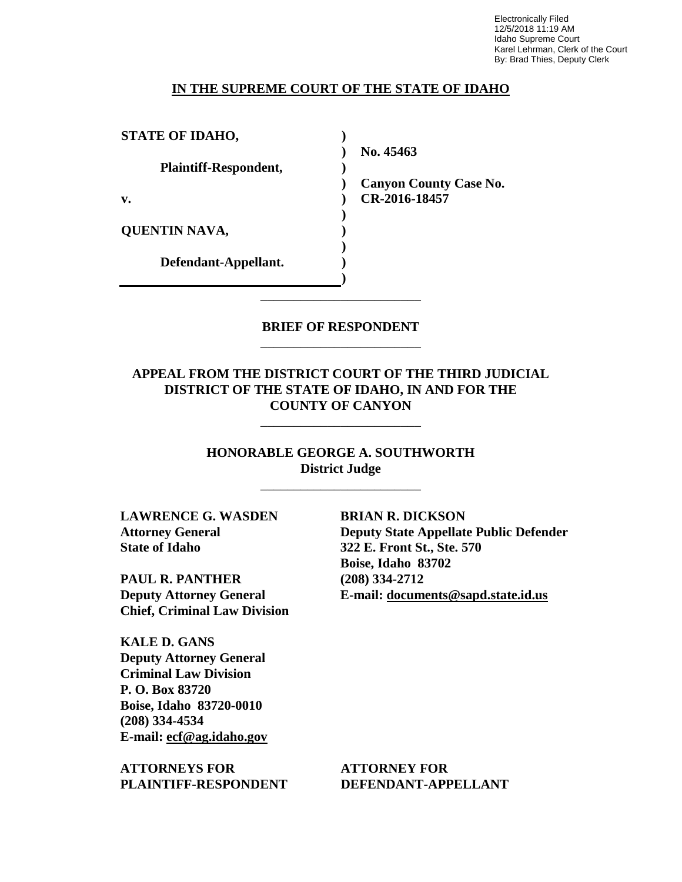Electronically Filed 12/5/2018 11:19 AM Idaho Supreme Court Karel Lehrman, Clerk of the Court By: Brad Thies, Deputy Clerk

#### **IN THE SUPREME COURT OF THE STATE OF IDAHO**

| <b>STATE OF IDAHO,</b> |                               |
|------------------------|-------------------------------|
|                        | No. 45463                     |
| Plaintiff-Respondent,  |                               |
|                        | <b>Canyon County Case No.</b> |
| v.                     | CR-2016-18457                 |
|                        |                               |
| <b>QUENTIN NAVA,</b>   |                               |
|                        |                               |
| Defendant-Appellant.   |                               |
|                        |                               |

### **BRIEF OF RESPONDENT** \_\_\_\_\_\_\_\_\_\_\_\_\_\_\_\_\_\_\_\_\_\_\_\_

\_\_\_\_\_\_\_\_\_\_\_\_\_\_\_\_\_\_\_\_\_\_\_\_

## **APPEAL FROM THE DISTRICT COURT OF THE THIRD JUDICIAL DISTRICT OF THE STATE OF IDAHO, IN AND FOR THE COUNTY OF CANYON**

\_\_\_\_\_\_\_\_\_\_\_\_\_\_\_\_\_\_\_\_\_\_\_\_

**HONORABLE GEORGE A. SOUTHWORTH District Judge**

\_\_\_\_\_\_\_\_\_\_\_\_\_\_\_\_\_\_\_\_\_\_\_\_

**LAWRENCE G. WASDEN Attorney General State of Idaho**

**PAUL R. PANTHER Deputy Attorney General Chief, Criminal Law Division**

**KALE D. GANS Deputy Attorney General Criminal Law Division P. O. Box 83720 Boise, Idaho 83720-0010 (208) 334-4534 E-mail: ecf@ag.idaho.gov** 

**ATTORNEYS FOR PLAINTIFF-RESPONDENT** **BRIAN R. DICKSON Deputy State Appellate Public Defender 322 E. Front St., Ste. 570 Boise, Idaho 83702 (208) 334-2712 E-mail: documents@sapd.state.id.us** 

**ATTORNEY FOR DEFENDANT-APPELLANT**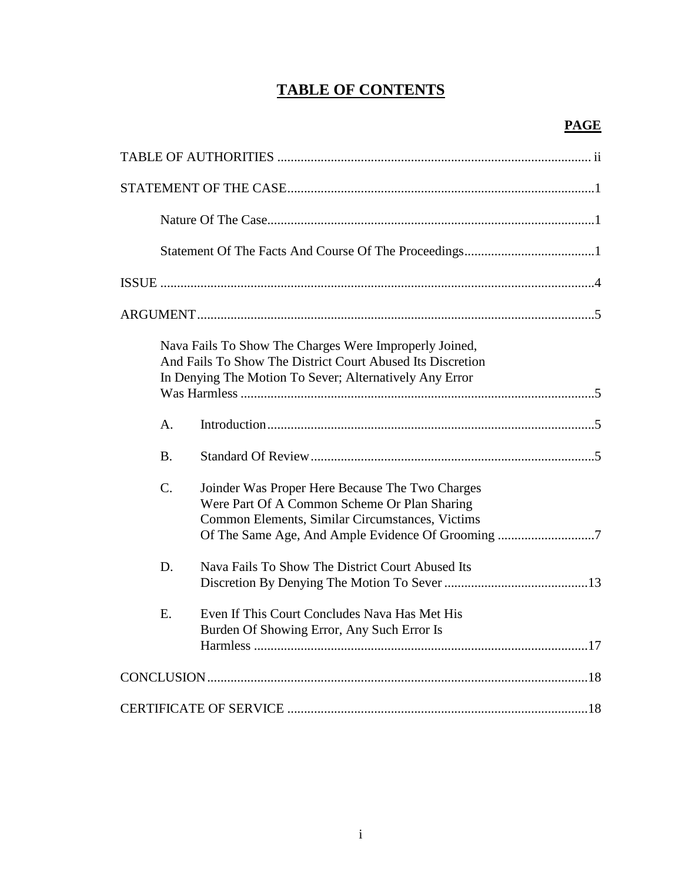## **TABLE OF CONTENTS**

|                | Nava Fails To Show The Charges Were Improperly Joined,<br>And Fails To Show The District Court Abused Its Discretion<br>In Denying The Motion To Sever; Alternatively Any Error                         |
|----------------|---------------------------------------------------------------------------------------------------------------------------------------------------------------------------------------------------------|
| A <sub>1</sub> |                                                                                                                                                                                                         |
| <b>B.</b>      |                                                                                                                                                                                                         |
| $C$ .          | Joinder Was Proper Here Because The Two Charges<br>Were Part Of A Common Scheme Or Plan Sharing<br>Common Elements, Similar Circumstances, Victims<br>Of The Same Age, And Ample Evidence Of Grooming 7 |
| D.             | Nava Fails To Show The District Court Abused Its                                                                                                                                                        |
| E.             | Even If This Court Concludes Nava Has Met His<br>Burden Of Showing Error, Any Such Error Is                                                                                                             |
|                |                                                                                                                                                                                                         |
|                |                                                                                                                                                                                                         |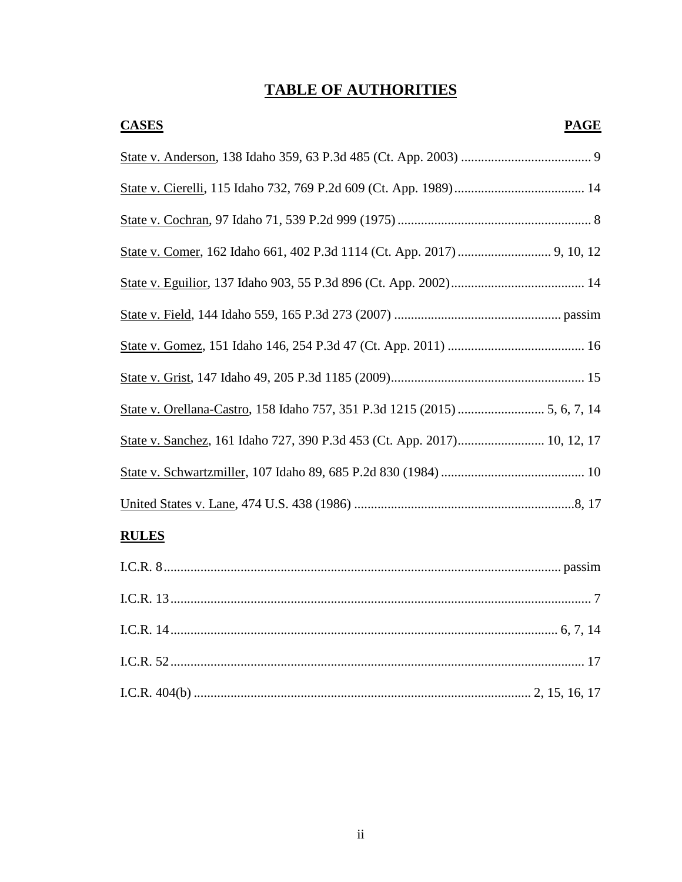# **TABLE OF AUTHORITIES**

| <b>CASES</b>                                                             | <b>PAGE</b> |
|--------------------------------------------------------------------------|-------------|
|                                                                          |             |
|                                                                          |             |
|                                                                          |             |
|                                                                          |             |
|                                                                          |             |
|                                                                          |             |
|                                                                          |             |
|                                                                          |             |
|                                                                          |             |
| State v. Sanchez, 161 Idaho 727, 390 P.3d 453 (Ct. App. 2017) 10, 12, 17 |             |
|                                                                          |             |
|                                                                          |             |

## **RULES**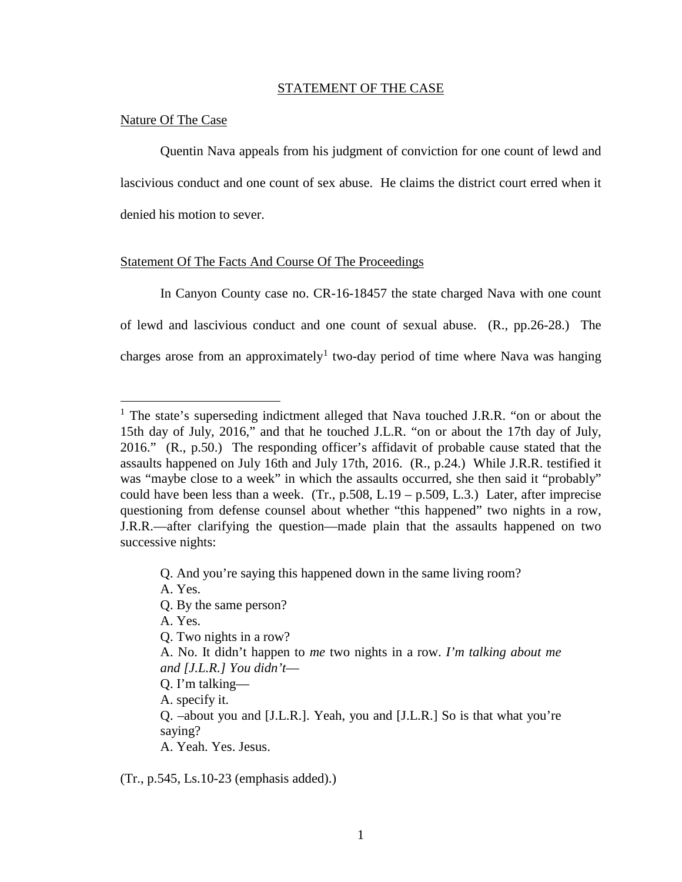#### STATEMENT OF THE CASE

#### Nature Of The Case

Quentin Nava appeals from his judgment of conviction for one count of lewd and lascivious conduct and one count of sex abuse. He claims the district court erred when it denied his motion to sever.

#### Statement Of The Facts And Course Of The Proceedings

In Canyon County case no. CR-16-18457 the state charged Nava with one count of lewd and lascivious conduct and one count of sexual abuse. (R., pp.26-28.) The charges arose from an approximately<sup>1</sup> two-day period of time where Nava was hanging

A. Yes.

 $\overline{a}$ 

Q. By the same person?

Q. Two nights in a row?

A. Yeah. Yes. Jesus.

(Tr., p.545, Ls.10-23 (emphasis added).)

<sup>&</sup>lt;sup>1</sup> The state's superseding indictment alleged that Nava touched J.R.R. "on or about the 15th day of July, 2016," and that he touched J.L.R. "on or about the 17th day of July, 2016." (R., p.50.) The responding officer's affidavit of probable cause stated that the assaults happened on July 16th and July 17th, 2016. (R., p.24.) While J.R.R. testified it was "maybe close to a week" in which the assaults occurred, she then said it "probably" could have been less than a week. (Tr., p.508, L.19 – p.509, L.3.) Later, after imprecise questioning from defense counsel about whether "this happened" two nights in a row, J.R.R.—after clarifying the question—made plain that the assaults happened on two successive nights:

Q. And you're saying this happened down in the same living room?

A. Yes.

A. No. It didn't happen to *me* two nights in a row. *I'm talking about me and [J.L.R.] You didn't*—

Q. I'm talking—

A. specify it.

Q. –about you and [J.L.R.]. Yeah, you and [J.L.R.] So is that what you're saying?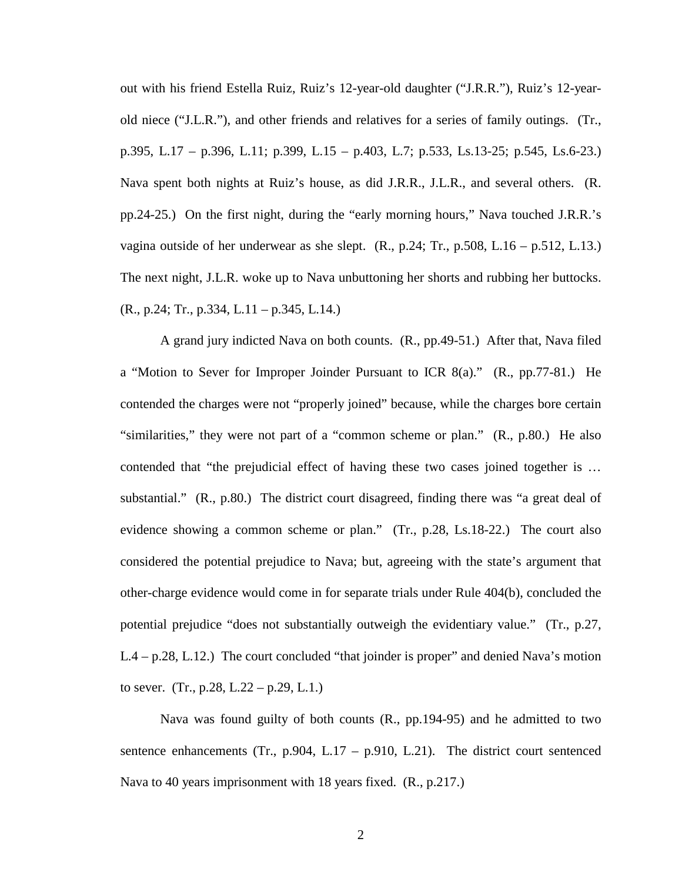out with his friend Estella Ruiz, Ruiz's 12-year-old daughter ("J.R.R."), Ruiz's 12-yearold niece ("J.L.R."), and other friends and relatives for a series of family outings. (Tr., p.395, L.17 – p.396, L.11; p.399, L.15 – p.403, L.7; p.533, Ls.13-25; p.545, Ls.6-23.) Nava spent both nights at Ruiz's house, as did J.R.R., J.L.R., and several others. (R. pp.24-25.) On the first night, during the "early morning hours," Nava touched J.R.R.'s vagina outside of her underwear as she slept.  $(R., p.24; Tr., p.508, L.16 - p.512, L.13.)$ The next night, J.L.R. woke up to Nava unbuttoning her shorts and rubbing her buttocks. (R., p.24; Tr., p.334, L.11 – p.345, L.14.)

A grand jury indicted Nava on both counts. (R., pp.49-51.) After that, Nava filed a "Motion to Sever for Improper Joinder Pursuant to ICR 8(a)." (R., pp.77-81.) He contended the charges were not "properly joined" because, while the charges bore certain "similarities," they were not part of a "common scheme or plan." (R., p.80.) He also contended that "the prejudicial effect of having these two cases joined together is … substantial." (R., p.80.) The district court disagreed, finding there was "a great deal of evidence showing a common scheme or plan." (Tr., p.28, Ls.18-22.) The court also considered the potential prejudice to Nava; but, agreeing with the state's argument that other-charge evidence would come in for separate trials under Rule 404(b), concluded the potential prejudice "does not substantially outweigh the evidentiary value." (Tr., p.27, L.4 – p.28, L.12.) The court concluded "that joinder is proper" and denied Nava's motion to sever. (Tr., p.28, L.22 – p.29, L.1.)

Nava was found guilty of both counts (R., pp.194-95) and he admitted to two sentence enhancements (Tr., p.904, L.17 – p.910, L.21). The district court sentenced Nava to 40 years imprisonment with 18 years fixed. (R., p.217.)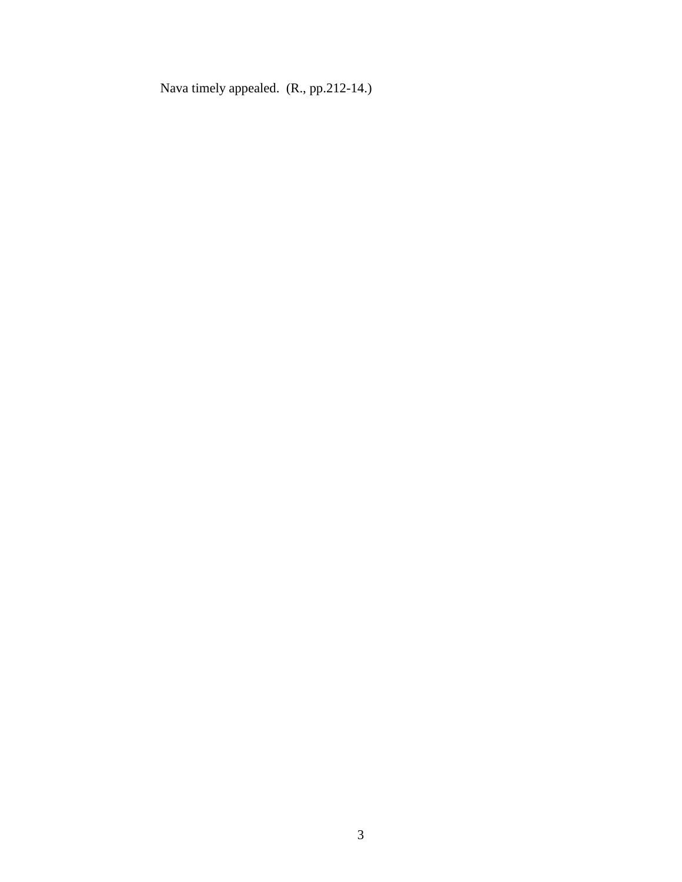Nava timely appealed. (R., pp.212-14.)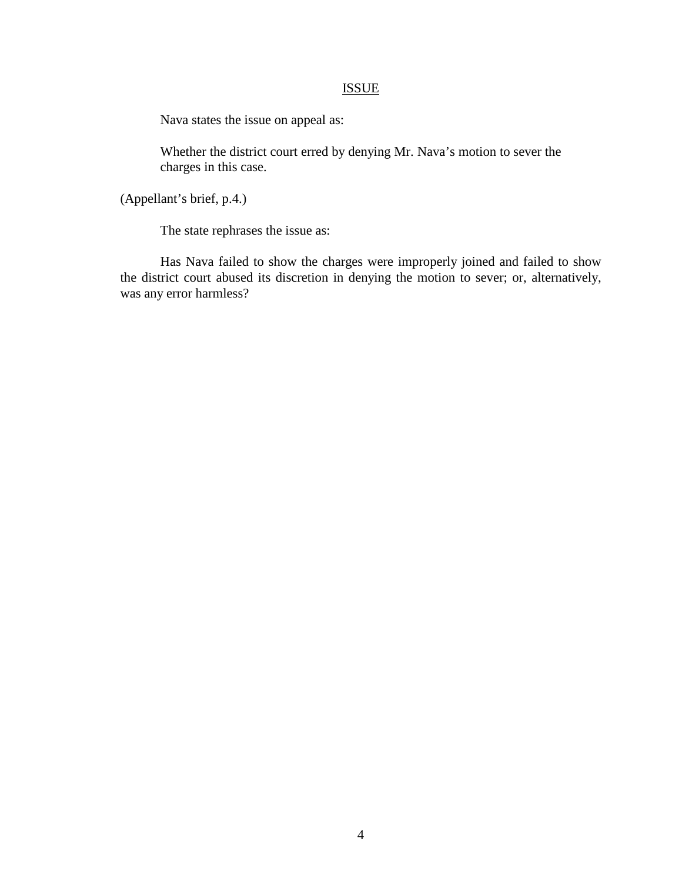#### ISSUE

Nava states the issue on appeal as:

Whether the district court erred by denying Mr. Nava's motion to sever the charges in this case.

(Appellant's brief, p.4.)

The state rephrases the issue as:

Has Nava failed to show the charges were improperly joined and failed to show the district court abused its discretion in denying the motion to sever; or, alternatively, was any error harmless?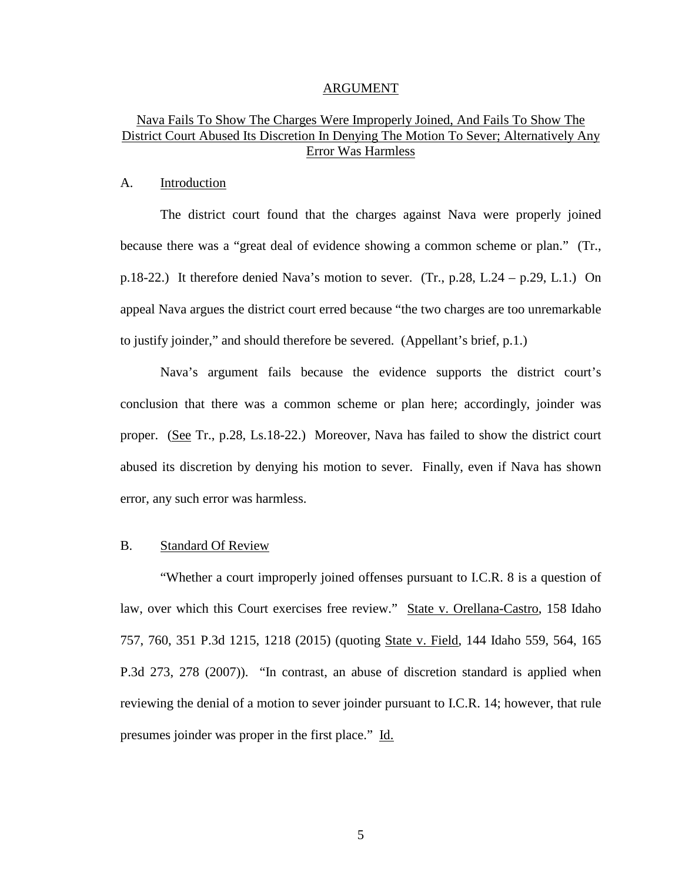#### ARGUMENT

## Nava Fails To Show The Charges Were Improperly Joined, And Fails To Show The District Court Abused Its Discretion In Denying The Motion To Sever; Alternatively Any Error Was Harmless

#### A. Introduction

The district court found that the charges against Nava were properly joined because there was a "great deal of evidence showing a common scheme or plan." (Tr., p.18-22.) It therefore denied Nava's motion to sever. (Tr., p.28, L.24 – p.29, L.1.) On appeal Nava argues the district court erred because "the two charges are too unremarkable to justify joinder," and should therefore be severed. (Appellant's brief, p.1.)

Nava's argument fails because the evidence supports the district court's conclusion that there was a common scheme or plan here; accordingly, joinder was proper. (See Tr., p.28, Ls.18-22.) Moreover, Nava has failed to show the district court abused its discretion by denying his motion to sever. Finally, even if Nava has shown error, any such error was harmless.

#### B. Standard Of Review

 "Whether a court improperly joined offenses pursuant to I.C.R. 8 is a question of law, over which this Court exercises free review." State v. Orellana-Castro, 158 Idaho 757, 760, 351 P.3d 1215, 1218 (2015) (quoting State v. Field, 144 Idaho 559, 564, 165 P.3d 273, 278 (2007)). "In contrast, an abuse of discretion standard is applied when reviewing the denial of a motion to sever joinder pursuant to I.C.R. 14; however, that rule presumes joinder was proper in the first place." Id.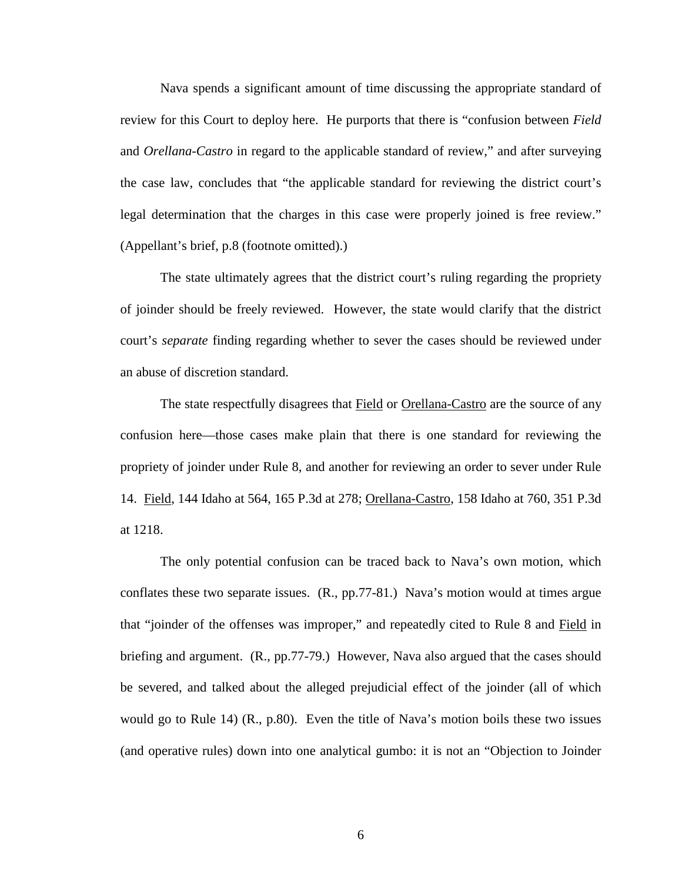Nava spends a significant amount of time discussing the appropriate standard of review for this Court to deploy here. He purports that there is "confusion between *Field* and *Orellana-Castro* in regard to the applicable standard of review," and after surveying the case law, concludes that "the applicable standard for reviewing the district court's legal determination that the charges in this case were properly joined is free review." (Appellant's brief, p.8 (footnote omitted).)

The state ultimately agrees that the district court's ruling regarding the propriety of joinder should be freely reviewed. However, the state would clarify that the district court's *separate* finding regarding whether to sever the cases should be reviewed under an abuse of discretion standard.

The state respectfully disagrees that Field or Orellana-Castro are the source of any confusion here—those cases make plain that there is one standard for reviewing the propriety of joinder under Rule 8, and another for reviewing an order to sever under Rule 14. Field, 144 Idaho at 564, 165 P.3d at 278; Orellana-Castro, 158 Idaho at 760, 351 P.3d at 1218.

The only potential confusion can be traced back to Nava's own motion, which conflates these two separate issues. (R., pp.77-81.) Nava's motion would at times argue that "joinder of the offenses was improper," and repeatedly cited to Rule 8 and Field in briefing and argument. (R., pp.77-79.) However, Nava also argued that the cases should be severed, and talked about the alleged prejudicial effect of the joinder (all of which would go to Rule 14) (R., p.80). Even the title of Nava's motion boils these two issues (and operative rules) down into one analytical gumbo: it is not an "Objection to Joinder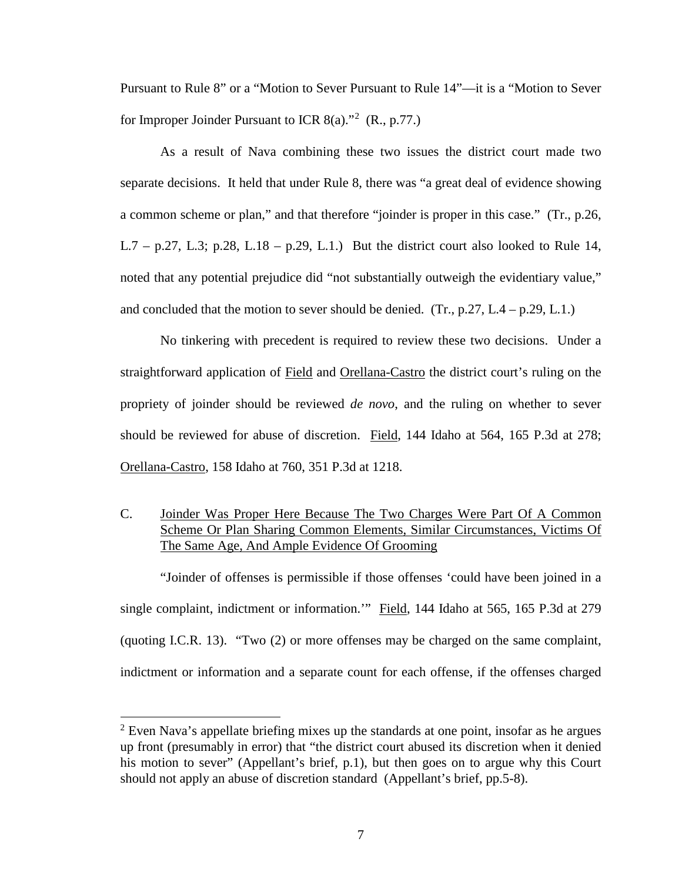Pursuant to Rule 8" or a "Motion to Sever Pursuant to Rule 14"—it is a "Motion to Sever for Improper Joinder Pursuant to ICR  $8(a)$ ."<sup>2</sup> (R., p.77.)

 As a result of Nava combining these two issues the district court made two separate decisions. It held that under Rule 8, there was "a great deal of evidence showing a common scheme or plan," and that therefore "joinder is proper in this case." (Tr., p.26, L.7 – p.27, L.3; p.28, L.18 – p.29, L.1.) But the district court also looked to Rule 14, noted that any potential prejudice did "not substantially outweigh the evidentiary value," and concluded that the motion to sever should be denied.  $(Tr, p.27, L.4 - p.29, L.1.)$ 

 No tinkering with precedent is required to review these two decisions. Under a straightforward application of Field and Orellana-Castro the district court's ruling on the propriety of joinder should be reviewed *de novo*, and the ruling on whether to sever should be reviewed for abuse of discretion. Field, 144 Idaho at 564, 165 P.3d at 278; Orellana-Castro, 158 Idaho at 760, 351 P.3d at 1218.

C. Joinder Was Proper Here Because The Two Charges Were Part Of A Common Scheme Or Plan Sharing Common Elements, Similar Circumstances, Victims Of The Same Age, And Ample Evidence Of Grooming

 "Joinder of offenses is permissible if those offenses 'could have been joined in a single complaint, indictment or information." Field, 144 Idaho at 565, 165 P.3d at 279 (quoting I.C.R. 13). "Two (2) or more offenses may be charged on the same complaint, indictment or information and a separate count for each offense, if the offenses charged

 $\overline{a}$ 

 $2$  Even Nava's appellate briefing mixes up the standards at one point, insofar as he argues up front (presumably in error) that "the district court abused its discretion when it denied his motion to sever" (Appellant's brief, p.1), but then goes on to argue why this Court should not apply an abuse of discretion standard (Appellant's brief, pp.5-8).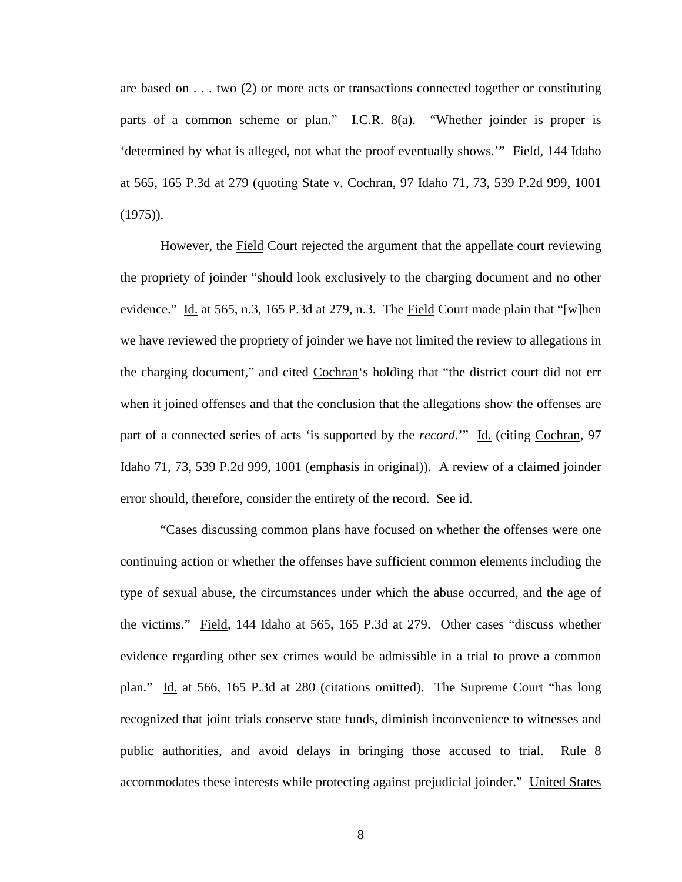are based on . . . two (2) or more acts or transactions connected together or constituting parts of a common scheme or plan." I.C.R. 8(a). "Whether joinder is proper is 'determined by what is alleged, not what the proof eventually shows.'" Field, 144 Idaho at 565, 165 P.3d at 279 (quoting State v. Cochran, 97 Idaho 71, 73, 539 P.2d 999, 1001 (1975)).

However, the Field Court rejected the argument that the appellate court reviewing the propriety of joinder "should look exclusively to the charging document and no other evidence." Id. at 565, n.3, 165 P.3d at 279, n.3. The Field Court made plain that "[w]hen we have reviewed the propriety of joinder we have not limited the review to allegations in the charging document," and cited Cochran's holding that "the district court did not err when it joined offenses and that the conclusion that the allegations show the offenses are part of a connected series of acts 'is supported by the *record*.'" Id. (citing Cochran, 97 Idaho 71, 73, 539 P.2d 999, 1001 (emphasis in original)). A review of a claimed joinder error should, therefore, consider the entirety of the record. See id.

"Cases discussing common plans have focused on whether the offenses were one continuing action or whether the offenses have sufficient common elements including the type of sexual abuse, the circumstances under which the abuse occurred, and the age of the victims." Field, 144 Idaho at 565, 165 P.3d at 279. Other cases "discuss whether evidence regarding other sex crimes would be admissible in a trial to prove a common plan." Id. at 566, 165 P.3d at 280 (citations omitted). The Supreme Court "has long recognized that joint trials conserve state funds, diminish inconvenience to witnesses and public authorities, and avoid delays in bringing those accused to trial. Rule 8 accommodates these interests while protecting against prejudicial joinder." United States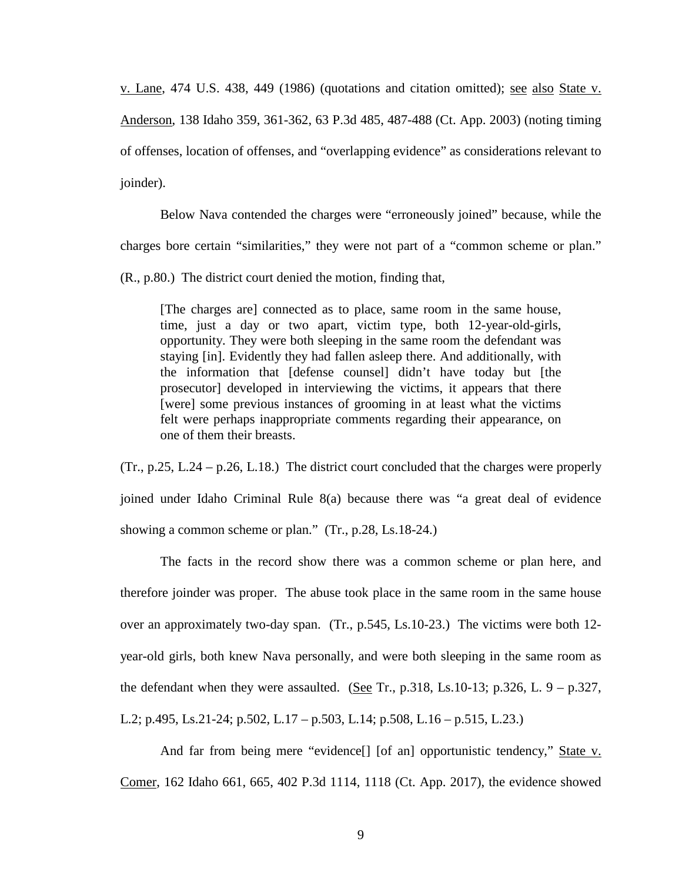v. Lane, 474 U.S. 438, 449 (1986) (quotations and citation omitted); see also State v. Anderson, 138 Idaho 359, 361-362, 63 P.3d 485, 487-488 (Ct. App. 2003) (noting timing of offenses, location of offenses, and "overlapping evidence" as considerations relevant to joinder).

Below Nava contended the charges were "erroneously joined" because, while the charges bore certain "similarities," they were not part of a "common scheme or plan." (R., p.80.) The district court denied the motion, finding that,

[The charges are] connected as to place, same room in the same house, time, just a day or two apart, victim type, both 12-year-old-girls, opportunity. They were both sleeping in the same room the defendant was staying [in]. Evidently they had fallen asleep there. And additionally, with the information that [defense counsel] didn't have today but [the prosecutor] developed in interviewing the victims, it appears that there [were] some previous instances of grooming in at least what the victims felt were perhaps inappropriate comments regarding their appearance, on one of them their breasts.

 $(Tr, p.25, L.24 - p.26, L.18)$  The district court concluded that the charges were properly joined under Idaho Criminal Rule 8(a) because there was "a great deal of evidence showing a common scheme or plan." (Tr., p.28, Ls.18-24.)

The facts in the record show there was a common scheme or plan here, and therefore joinder was proper. The abuse took place in the same room in the same house over an approximately two-day span. (Tr., p.545, Ls.10-23.) The victims were both 12 year-old girls, both knew Nava personally, and were both sleeping in the same room as the defendant when they were assaulted. (See Tr., p.318, Ls.10-13; p.326, L.  $9 - p.327$ , L.2; p.495, Ls.21-24; p.502, L.17 – p.503, L.14; p.508, L.16 – p.515, L.23.)

And far from being mere "evidence<sup>[]</sup> [of an] opportunistic tendency," State v. Comer, 162 Idaho 661, 665, 402 P.3d 1114, 1118 (Ct. App. 2017), the evidence showed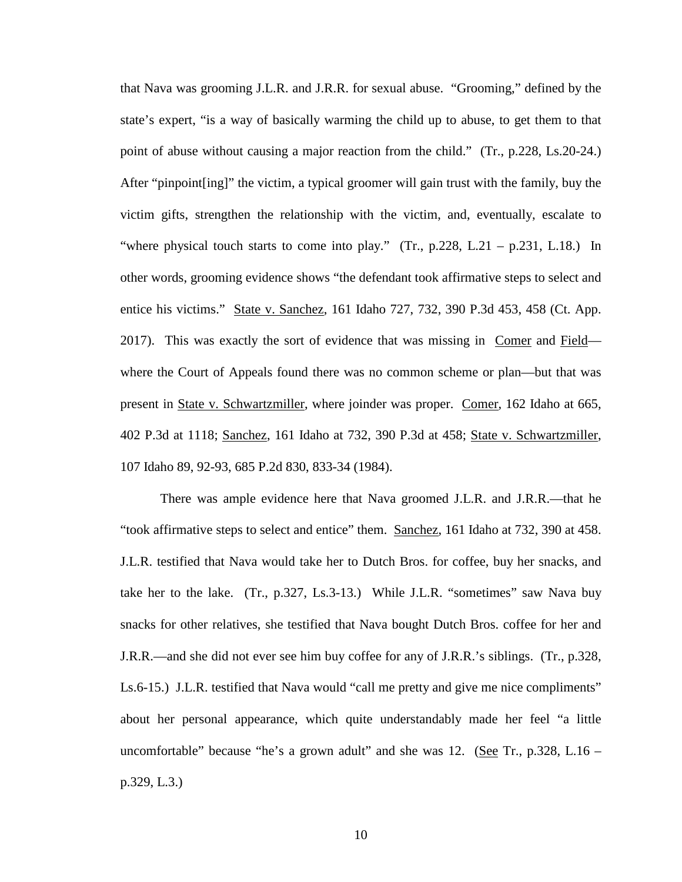that Nava was grooming J.L.R. and J.R.R. for sexual abuse. "Grooming," defined by the state's expert, "is a way of basically warming the child up to abuse, to get them to that point of abuse without causing a major reaction from the child." (Tr., p.228, Ls.20-24.) After "pinpoint[ing]" the victim, a typical groomer will gain trust with the family, buy the victim gifts, strengthen the relationship with the victim, and, eventually, escalate to "where physical touch starts to come into play."  $(Tr, p.228, L.21 - p.231, L.18.)$  In other words, grooming evidence shows "the defendant took affirmative steps to select and entice his victims." State v. Sanchez, 161 Idaho 727, 732, 390 P.3d 453, 458 (Ct. App. 2017). This was exactly the sort of evidence that was missing in Comer and Field where the Court of Appeals found there was no common scheme or plan—but that was present in State v. Schwartzmiller, where joinder was proper. Comer, 162 Idaho at 665, 402 P.3d at 1118; Sanchez, 161 Idaho at 732, 390 P.3d at 458; State v. Schwartzmiller, 107 Idaho 89, 92-93, 685 P.2d 830, 833-34 (1984).

There was ample evidence here that Nava groomed J.L.R. and J.R.R.—that he "took affirmative steps to select and entice" them. Sanchez, 161 Idaho at 732, 390 at 458. J.L.R. testified that Nava would take her to Dutch Bros. for coffee, buy her snacks, and take her to the lake. (Tr., p.327, Ls.3-13.) While J.L.R. "sometimes" saw Nava buy snacks for other relatives, she testified that Nava bought Dutch Bros. coffee for her and J.R.R.—and she did not ever see him buy coffee for any of J.R.R.'s siblings. (Tr., p.328, Ls.6-15.) J.L.R. testified that Nava would "call me pretty and give me nice compliments" about her personal appearance, which quite understandably made her feel "a little uncomfortable" because "he's a grown adult" and she was 12. (See Tr., p.328, L.16 – p.329, L.3.)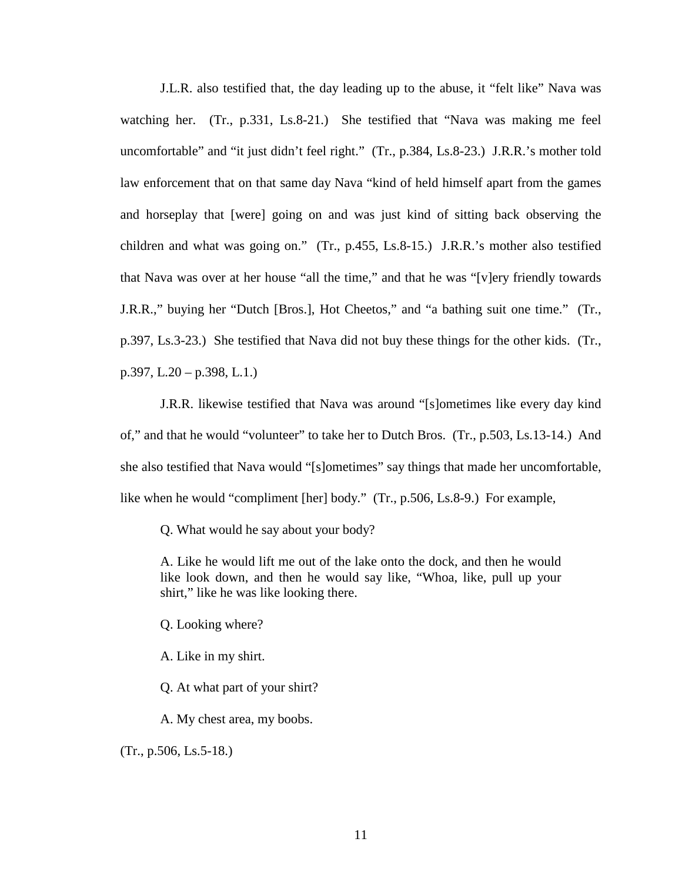J.L.R. also testified that, the day leading up to the abuse, it "felt like" Nava was watching her. (Tr., p.331, Ls.8-21.) She testified that "Nava was making me feel uncomfortable" and "it just didn't feel right." (Tr., p.384, Ls.8-23.) J.R.R.'s mother told law enforcement that on that same day Nava "kind of held himself apart from the games and horseplay that [were] going on and was just kind of sitting back observing the children and what was going on." (Tr., p.455, Ls.8-15.) J.R.R.'s mother also testified that Nava was over at her house "all the time," and that he was "[v]ery friendly towards J.R.R.," buying her "Dutch [Bros.], Hot Cheetos," and "a bathing suit one time." (Tr., p.397, Ls.3-23.) She testified that Nava did not buy these things for the other kids. (Tr., p.397, L.20 – p.398, L.1.)

 J.R.R. likewise testified that Nava was around "[s]ometimes like every day kind of," and that he would "volunteer" to take her to Dutch Bros. (Tr., p.503, Ls.13-14.) And she also testified that Nava would "[s]ometimes" say things that made her uncomfortable, like when he would "compliment [her] body." (Tr., p.506, Ls.8-9.) For example,

Q. What would he say about your body?

A. Like he would lift me out of the lake onto the dock, and then he would like look down, and then he would say like, "Whoa, like, pull up your shirt," like he was like looking there.

Q. Looking where?

A. Like in my shirt.

Q. At what part of your shirt?

A. My chest area, my boobs.

(Tr., p.506, Ls.5-18.)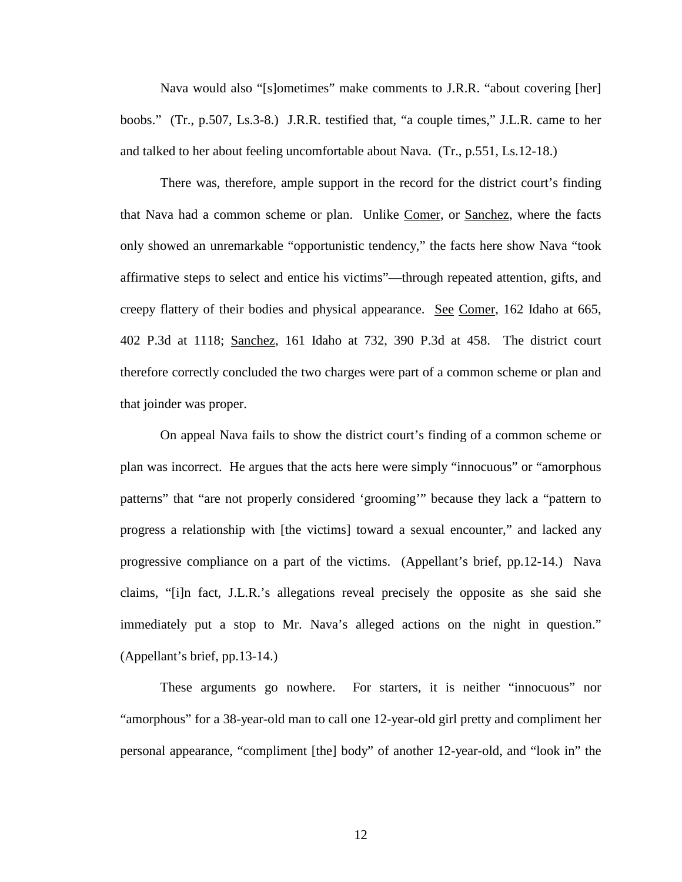Nava would also "[s]ometimes" make comments to J.R.R. "about covering [her] boobs." (Tr., p.507, Ls.3-8.) J.R.R. testified that, "a couple times," J.L.R. came to her and talked to her about feeling uncomfortable about Nava. (Tr., p.551, Ls.12-18.)

There was, therefore, ample support in the record for the district court's finding that Nava had a common scheme or plan. Unlike Comer, or Sanchez, where the facts only showed an unremarkable "opportunistic tendency," the facts here show Nava "took affirmative steps to select and entice his victims"—through repeated attention, gifts, and creepy flattery of their bodies and physical appearance. See Comer, 162 Idaho at 665, 402 P.3d at 1118; Sanchez, 161 Idaho at 732, 390 P.3d at 458. The district court therefore correctly concluded the two charges were part of a common scheme or plan and that joinder was proper.

On appeal Nava fails to show the district court's finding of a common scheme or plan was incorrect. He argues that the acts here were simply "innocuous" or "amorphous patterns" that "are not properly considered 'grooming'" because they lack a "pattern to progress a relationship with [the victims] toward a sexual encounter," and lacked any progressive compliance on a part of the victims. (Appellant's brief, pp.12-14.) Nava claims, "[i]n fact, J.L.R.'s allegations reveal precisely the opposite as she said she immediately put a stop to Mr. Nava's alleged actions on the night in question." (Appellant's brief, pp.13-14.)

 These arguments go nowhere. For starters, it is neither "innocuous" nor "amorphous" for a 38-year-old man to call one 12-year-old girl pretty and compliment her personal appearance, "compliment [the] body" of another 12-year-old, and "look in" the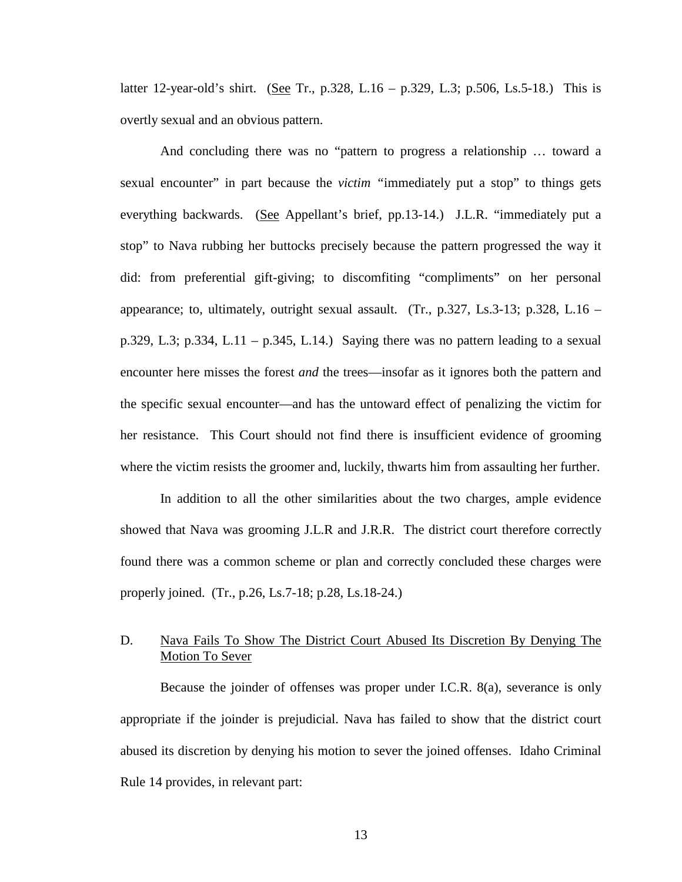latter 12-year-old's shirt. (See Tr., p.328, L.16 – p.329, L.3; p.506, Ls.5-18.) This is overtly sexual and an obvious pattern.

And concluding there was no "pattern to progress a relationship … toward a sexual encounter" in part because the *victim "*immediately put a stop" to things gets everything backwards. (See Appellant's brief, pp.13-14.) J.L.R. "immediately put a stop" to Nava rubbing her buttocks precisely because the pattern progressed the way it did: from preferential gift-giving; to discomfiting "compliments" on her personal appearance; to, ultimately, outright sexual assault. (Tr.,  $p.327$ , Ls.3-13;  $p.328$ , L.16 – p.329, L.3; p.334, L.11 – p.345, L.14.) Saying there was no pattern leading to a sexual encounter here misses the forest *and* the trees—insofar as it ignores both the pattern and the specific sexual encounter—and has the untoward effect of penalizing the victim for her resistance. This Court should not find there is insufficient evidence of grooming where the victim resists the groomer and, luckily, thwarts him from assaulting her further.

In addition to all the other similarities about the two charges, ample evidence showed that Nava was grooming J.L.R and J.R.R. The district court therefore correctly found there was a common scheme or plan and correctly concluded these charges were properly joined. (Tr., p.26, Ls.7-18; p.28, Ls.18-24.)

## D. Nava Fails To Show The District Court Abused Its Discretion By Denying The Motion To Sever

Because the joinder of offenses was proper under I.C.R. 8(a), severance is only appropriate if the joinder is prejudicial. Nava has failed to show that the district court abused its discretion by denying his motion to sever the joined offenses. Idaho Criminal Rule 14 provides, in relevant part: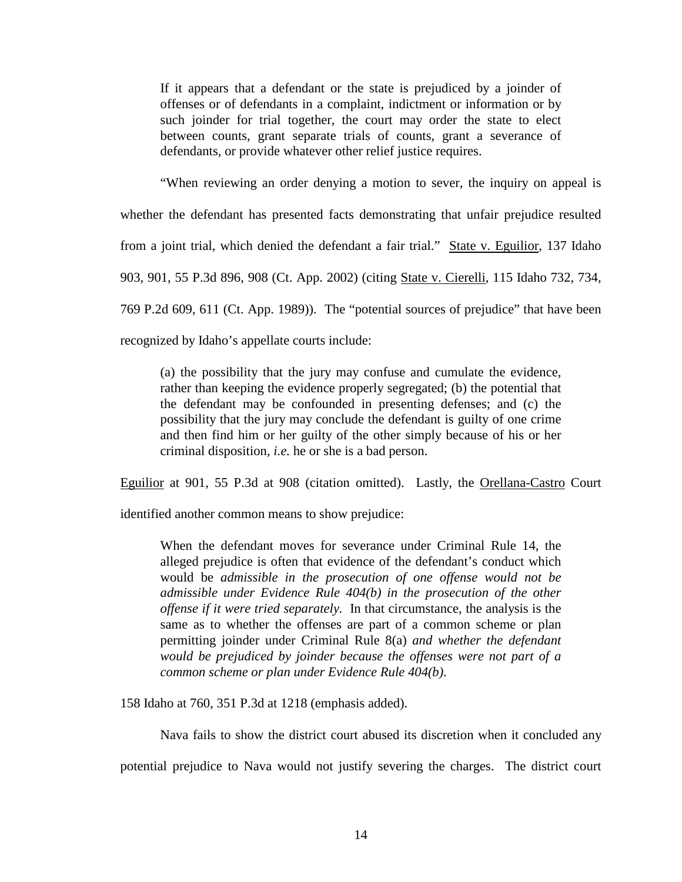If it appears that a defendant or the state is prejudiced by a joinder of offenses or of defendants in a complaint, indictment or information or by such joinder for trial together, the court may order the state to elect between counts, grant separate trials of counts, grant a severance of defendants, or provide whatever other relief justice requires.

 "When reviewing an order denying a motion to sever, the inquiry on appeal is whether the defendant has presented facts demonstrating that unfair prejudice resulted from a joint trial, which denied the defendant a fair trial." State v. Eguilior, 137 Idaho 903, 901, 55 P.3d 896, 908 (Ct. App. 2002) (citing State v. Cierelli, 115 Idaho 732, 734, 769 P.2d 609, 611 (Ct. App. 1989)). The "potential sources of prejudice" that have been recognized by Idaho's appellate courts include:

(a) the possibility that the jury may confuse and cumulate the evidence, rather than keeping the evidence properly segregated; (b) the potential that the defendant may be confounded in presenting defenses; and (c) the possibility that the jury may conclude the defendant is guilty of one crime and then find him or her guilty of the other simply because of his or her criminal disposition, *i.e.* he or she is a bad person.

Eguilior at 901, 55 P.3d at 908 (citation omitted). Lastly, the Orellana-Castro Court

identified another common means to show prejudice:

When the defendant moves for severance under Criminal Rule 14, the alleged prejudice is often that evidence of the defendant's conduct which would be *admissible in the prosecution of one offense would not be admissible under Evidence Rule 404(b) in the prosecution of the other offense if it were tried separately.* In that circumstance, the analysis is the same as to whether the offenses are part of a common scheme or plan permitting joinder under Criminal Rule 8(a) *and whether the defendant would be prejudiced by joinder because the offenses were not part of a common scheme or plan under Evidence Rule 404(b)*.

158 Idaho at 760, 351 P.3d at 1218 (emphasis added).

Nava fails to show the district court abused its discretion when it concluded any

potential prejudice to Nava would not justify severing the charges. The district court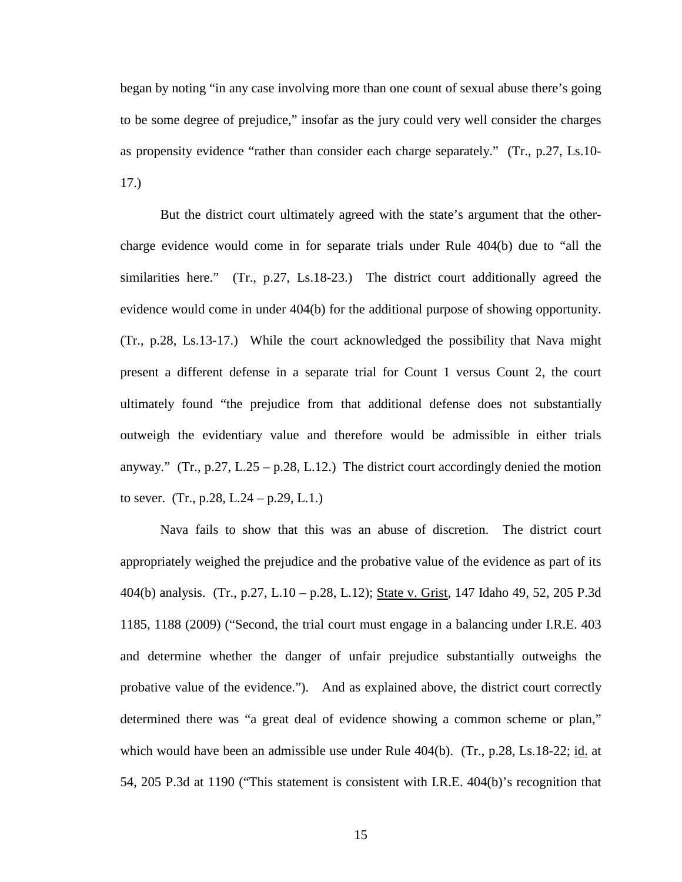began by noting "in any case involving more than one count of sexual abuse there's going to be some degree of prejudice," insofar as the jury could very well consider the charges as propensity evidence "rather than consider each charge separately." (Tr., p.27, Ls.10- 17.)

But the district court ultimately agreed with the state's argument that the othercharge evidence would come in for separate trials under Rule 404(b) due to "all the similarities here." (Tr., p.27, Ls.18-23.) The district court additionally agreed the evidence would come in under 404(b) for the additional purpose of showing opportunity. (Tr., p.28, Ls.13-17.) While the court acknowledged the possibility that Nava might present a different defense in a separate trial for Count 1 versus Count 2, the court ultimately found "the prejudice from that additional defense does not substantially outweigh the evidentiary value and therefore would be admissible in either trials anyway." (Tr., p.27, L.25 – p.28, L.12.) The district court accordingly denied the motion to sever.  $(Tr_1, p.28, L.24 - p.29, L.1.)$ 

Nava fails to show that this was an abuse of discretion. The district court appropriately weighed the prejudice and the probative value of the evidence as part of its 404(b) analysis. (Tr., p.27, L.10 – p.28, L.12); State v. Grist, 147 Idaho 49, 52, 205 P.3d 1185, 1188 (2009) ("Second, the trial court must engage in a balancing under I.R.E. 403 and determine whether the danger of unfair prejudice substantially outweighs the probative value of the evidence."). And as explained above, the district court correctly determined there was "a great deal of evidence showing a common scheme or plan," which would have been an admissible use under Rule 404(b). (Tr., p.28, Ls.18-22; id. at 54, 205 P.3d at 1190 ("This statement is consistent with I.R.E. 404(b)'s recognition that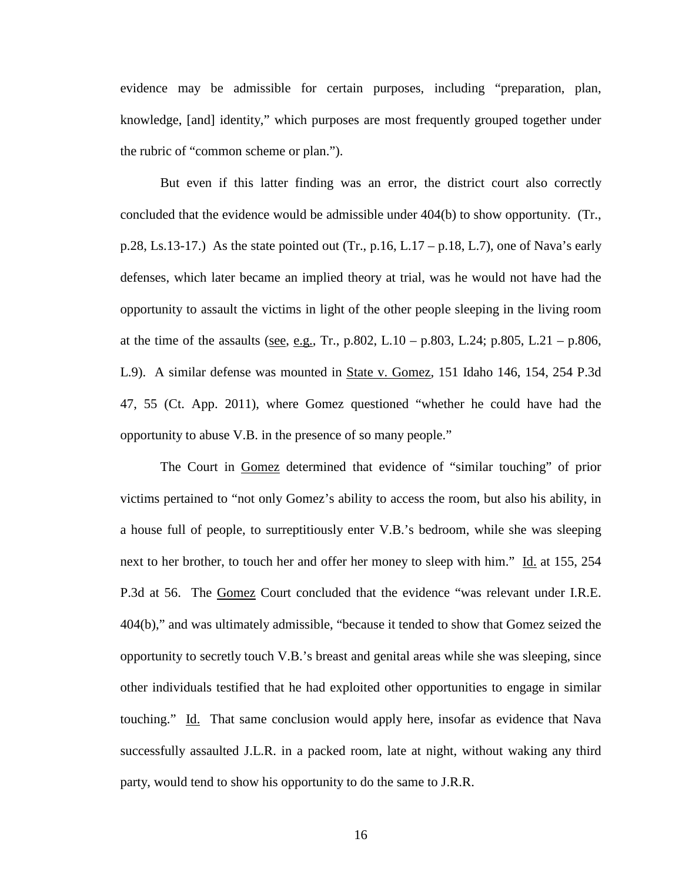evidence may be admissible for certain purposes, including "preparation, plan, knowledge, [and] identity," which purposes are most frequently grouped together under the rubric of "common scheme or plan.").

But even if this latter finding was an error, the district court also correctly concluded that the evidence would be admissible under 404(b) to show opportunity. (Tr., p.28, Ls.13-17.) As the state pointed out  $(Tr, p.16, L.17 - p.18, L.7)$ , one of Nava's early defenses, which later became an implied theory at trial, was he would not have had the opportunity to assault the victims in light of the other people sleeping in the living room at the time of the assaults (see, e.g., Tr., p.802, L.10 – p.803, L.24; p.805, L.21 – p.806, L.9). A similar defense was mounted in State v. Gomez, 151 Idaho 146, 154, 254 P.3d 47, 55 (Ct. App. 2011), where Gomez questioned "whether he could have had the opportunity to abuse V.B. in the presence of so many people."

The Court in Gomez determined that evidence of "similar touching" of prior victims pertained to "not only Gomez's ability to access the room, but also his ability, in a house full of people, to surreptitiously enter V.B.'s bedroom, while she was sleeping next to her brother, to touch her and offer her money to sleep with him." Id. at 155, 254 P.3d at 56. The Gomez Court concluded that the evidence "was relevant under I.R.E. 404(b)," and was ultimately admissible, "because it tended to show that Gomez seized the opportunity to secretly touch V.B.'s breast and genital areas while she was sleeping, since other individuals testified that he had exploited other opportunities to engage in similar touching." Id. That same conclusion would apply here, insofar as evidence that Nava successfully assaulted J.L.R. in a packed room, late at night, without waking any third party, would tend to show his opportunity to do the same to J.R.R.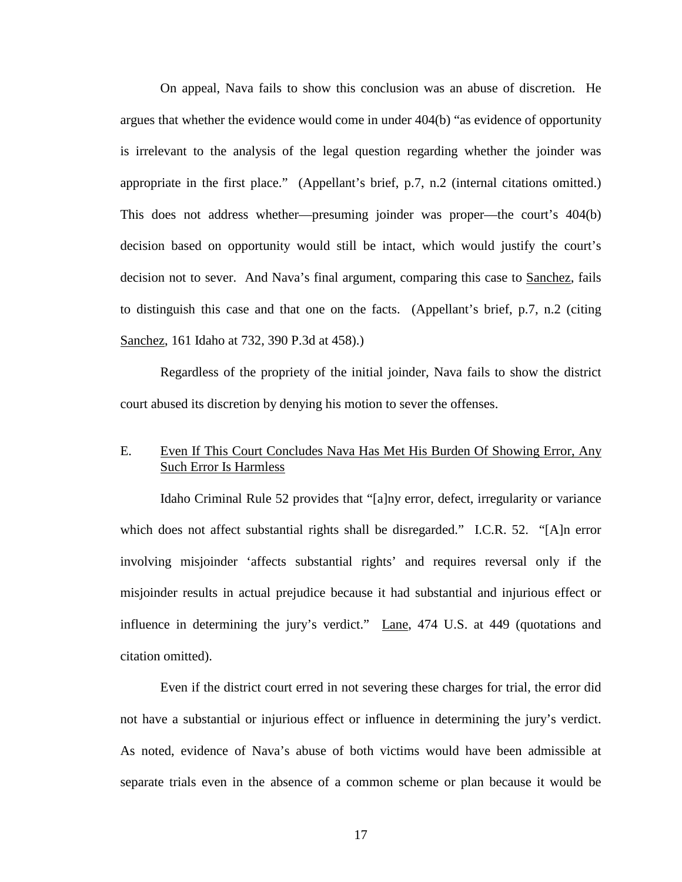On appeal, Nava fails to show this conclusion was an abuse of discretion. He argues that whether the evidence would come in under 404(b) "as evidence of opportunity is irrelevant to the analysis of the legal question regarding whether the joinder was appropriate in the first place." (Appellant's brief, p.7, n.2 (internal citations omitted.) This does not address whether—presuming joinder was proper—the court's 404(b) decision based on opportunity would still be intact, which would justify the court's decision not to sever. And Nava's final argument, comparing this case to Sanchez, fails to distinguish this case and that one on the facts. (Appellant's brief, p.7, n.2 (citing Sanchez, 161 Idaho at 732, 390 P.3d at 458).)

Regardless of the propriety of the initial joinder, Nava fails to show the district court abused its discretion by denying his motion to sever the offenses.

## E. Even If This Court Concludes Nava Has Met His Burden Of Showing Error, Any Such Error Is Harmless

Idaho Criminal Rule 52 provides that "[a]ny error, defect, irregularity or variance which does not affect substantial rights shall be disregarded." I.C.R. 52. "[A]n error involving misjoinder 'affects substantial rights' and requires reversal only if the misjoinder results in actual prejudice because it had substantial and injurious effect or influence in determining the jury's verdict." Lane, 474 U.S. at 449 (quotations and citation omitted).

Even if the district court erred in not severing these charges for trial, the error did not have a substantial or injurious effect or influence in determining the jury's verdict. As noted, evidence of Nava's abuse of both victims would have been admissible at separate trials even in the absence of a common scheme or plan because it would be